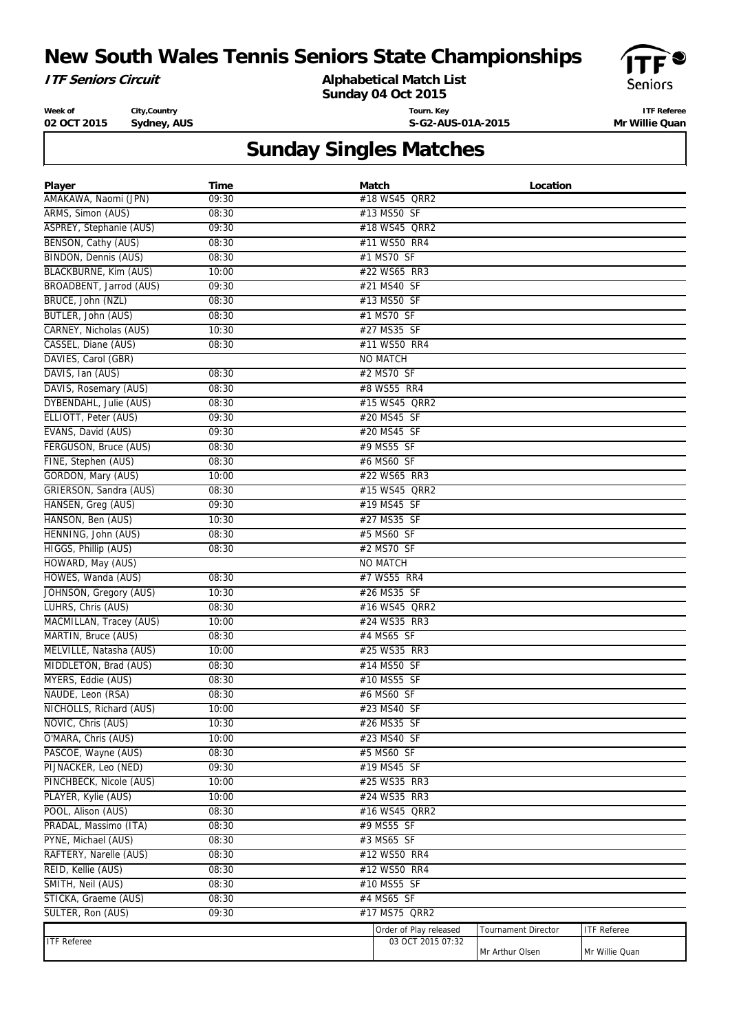## **New South Wales Tennis Seniors State Championships**



#### **Alphabetical Match List**

**Sunday 04 Oct 2015**



**Week of 02 OCT 2015 City,Country Sydney, AUS** **Tourn. Key S-G2-AUS-01A-2015**

**ITF Referee Mr Willie Quan**

# **Sunday Singles Matches**

| Player                         | Time  | Match                  | Location            |                    |
|--------------------------------|-------|------------------------|---------------------|--------------------|
| AMAKAWA, Naomi (JPN)           | 09:30 | #18 WS45 QRR2          |                     |                    |
| ARMS, Simon (AUS)              | 08:30 | #13 MS50 SF            |                     |                    |
| <b>ASPREY, Stephanie (AUS)</b> | 09:30 | #18 WS45 QRR2          |                     |                    |
| BENSON, Cathy (AUS)            | 08:30 | #11 WS50 RR4           |                     |                    |
| <b>BINDON, Dennis (AUS)</b>    | 08:30 | #1 MS70 SF             |                     |                    |
| <b>BLACKBURNE, Kim (AUS)</b>   | 10:00 | #22 WS65 RR3           |                     |                    |
| BROADBENT, Jarrod (AUS)        | 09:30 | #21 MS40 SF            |                     |                    |
| BRUCE, John (NZL)              | 08:30 | #13 MS50 SF            |                     |                    |
| BUTLER, John (AUS)             | 08:30 | #1 MS70 SF             |                     |                    |
| CARNEY, Nicholas (AUS)         | 10:30 | #27 MS35 SF            |                     |                    |
| CASSEL, Diane (AUS)            | 08:30 | #11 WS50 RR4           |                     |                    |
| DAVIES, Carol (GBR)            |       | <b>NO MATCH</b>        |                     |                    |
| DAVIS, Ian (AUS)               | 08:30 | #2 MS70 SF             |                     |                    |
| DAVIS, Rosemary (AUS)          | 08:30 | #8 WS55 RR4            |                     |                    |
| DYBENDAHL, Julie (AUS)         | 08:30 | #15 WS45 QRR2          |                     |                    |
| ELLIOTT, Peter (AUS)           | 09:30 | #20 MS45 SF            |                     |                    |
| EVANS, David (AUS)             | 09:30 | #20 MS45 SF            |                     |                    |
| FERGUSON, Bruce (AUS)          | 08:30 | #9 MS55 SF             |                     |                    |
| FINE, Stephen (AUS)            | 08:30 | #6 MS60 SF             |                     |                    |
| GORDON, Mary (AUS)             | 10:00 | #22 WS65 RR3           |                     |                    |
| GRIERSON, Sandra (AUS)         | 08:30 | #15 WS45 QRR2          |                     |                    |
| HANSEN, Greg (AUS)             | 09:30 | #19 MS45 SF            |                     |                    |
| HANSON, Ben (AUS)              | 10:30 | #27 MS35 SF            |                     |                    |
| HENNING, John (AUS)            | 08:30 | #5 MS60 SF             |                     |                    |
| HIGGS, Phillip (AUS)           | 08:30 | #2 MS70 SF             |                     |                    |
| HOWARD, May (AUS)              |       | <b>NO MATCH</b>        |                     |                    |
| HOWES, Wanda (AUS)             | 08:30 | #7 WS55 RR4            |                     |                    |
| JOHNSON, Gregory (AUS)         | 10:30 | #26 MS35 SF            |                     |                    |
| LUHRS, Chris (AUS)             | 08:30 | #16 WS45 QRR2          |                     |                    |
| MACMILLAN, Tracey (AUS)        | 10:00 | #24 WS35 RR3           |                     |                    |
| MARTIN, Bruce (AUS)            | 08:30 | #4 MS65 SF             |                     |                    |
| MELVILLE, Natasha (AUS)        | 10:00 | #25 WS35 RR3           |                     |                    |
| MIDDLETON, Brad (AUS)          | 08:30 | #14 MS50 SF            |                     |                    |
|                                |       | #10 MS55 SF            |                     |                    |
| MYERS, Eddie (AUS)             | 08:30 |                        |                     |                    |
| NAUDE, Leon (RSA)              | 08:30 | #6 MS60 SF             |                     |                    |
| NICHOLLS, Richard (AUS)        | 10:00 | #23 MS40 SF            |                     |                    |
| NOVIC, Chris (AUS)             | 10:30 | #26 MS35 SF            |                     |                    |
| O'MARA, Chris (AUS)            | 10:00 | #23 MS40 SF            |                     |                    |
| PASCOE, Wayne (AUS)            | 08:30 | #5 MS60 SF             |                     |                    |
| PIJNACKER, Leo (NED)           | 09:30 | #19 MS45 SF            |                     |                    |
| PINCHBECK, Nicole (AUS)        | 10:00 | #25 WS35 RR3           |                     |                    |
| PLAYER, Kylie (AUS)            | 10:00 | #24 WS35 RR3           |                     |                    |
| POOL, Alison (AUS)             | 08:30 | #16 WS45 QRR2          |                     |                    |
| PRADAL, Massimo (ITA)          | 08:30 | #9 MS55 SF             |                     |                    |
| PYNE, Michael (AUS)            | 08:30 | #3 MS65 SF             |                     |                    |
| RAFTERY, Narelle (AUS)         | 08:30 | #12 WS50 RR4           |                     |                    |
| REID, Kellie (AUS)             | 08:30 | #12 WS50 RR4           |                     |                    |
| SMITH, Neil (AUS)              | 08:30 | #10 MS55 SF            |                     |                    |
| STICKA, Graeme (AUS)           | 08:30 | #4 MS65 SF             |                     |                    |
| SULTER, Ron (AUS)              | 09:30 | #17 MS75 QRR2          |                     |                    |
|                                |       | Order of Play released | Tournament Director | <b>ITF Referee</b> |
| <b>ITF Referee</b>             |       | 03 OCT 2015 07:32      |                     |                    |
|                                |       |                        | Mr Arthur Olsen     | Mr Willie Quan     |